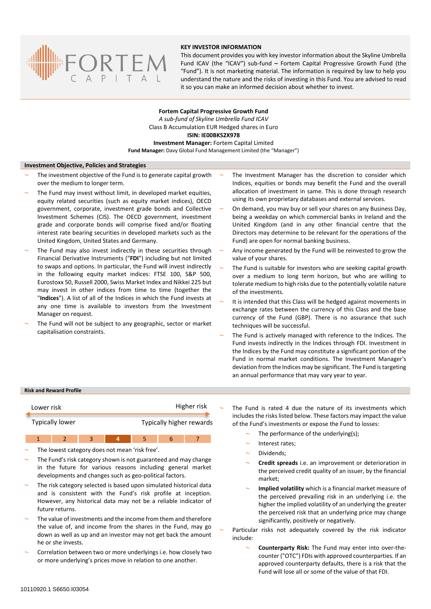

# **KEY INVESTOR INFORMATION**

This document provides you with key investor information about the Skyline Umbrella Fund ICAV (the "ICAV") sub-fund **–** Fortem Capital Progressive Growth Fund (the "Fund"). It is not marketing material. The information is required by law to help you understand the nature and the risks of investing in this Fund. You are advised to read it so you can make an informed decision about whether to invest.

**Fortem Capital Progressive Growth Fund** *A sub-fund of Skyline Umbrella Fund ICAV* Class B Accumulation EUR Hedged shares in Euro **ISIN: IE00BKS2X978 Investment Manager:** Fortem Capital Limited **Fund Manager:** Davy Global Fund Management Limited (the "Manager")

### **Investment Objective, Policies and Strategies**

- The investment objective of the Fund is to generate capital growth over the medium to longer term.
- The Fund may invest without limit, in developed market equities, equity related securities (such as equity market indices), OECD government, corporate, investment grade bonds and Collective Investment Schemes (CIS). The OECD government, investment grade and corporate bonds will comprise fixed and/or floating interest rate bearing securities in developed markets such as the United Kingdom, United States and Germany.
- The Fund may also invest indirectly in these securities through Financial Derivative Instruments ("**FDI**") including but not limited to swaps and options. In particular, the Fund will invest indirectly in the following equity market indices: FTSE 100, S&P 500, Eurostoxx 50, Russell 2000, Swiss Market Index and Nikkei 225 but may invest in other indices from time to time (together the "**Indices**"). A list of all of the Indices in which the Fund invests at any one time is available to investors from the Investment Manager on request.
- The Fund will not be subject to any geographic, sector or market capitalisation constraints.
- The Investment Manager has the discretion to consider which Indices, equities or bonds may benefit the Fund and the overall allocation of investment in same. This is done through research using its own proprietary databases and external services.
- On demand, you may buy or sell your shares on any Business Day, being a weekday on which commercial banks in Ireland and the United Kingdom (and in any other financial centre that the Directors may determine to be relevant for the operations of the Fund) are open for normal banking business.
- Any income generated by the Fund will be reinvested to grow the value of your shares.
- The Fund is suitable for investors who are seeking capital growth over a medium to long term horizon, but who are willing to tolerate medium to high risks due to the potentially volatile nature of the investments.
- It is intended that this Class will be hedged against movements in exchange rates between the currency of this Class and the base currency of the Fund (GBP). There is no assurance that such techniques will be successful.
- The Fund is actively managed with reference to the Indices. The Fund invests indirectly in the Indices through FDI. Investment in the Indices by the Fund may constitute a significant portion of the Fund in normal market conditions. The Investment Manager's deviation from the Indices may be significant. The Fund is targeting an annual performance that may vary year to year.

### **Risk and Reward Profile**

| Lower risk             | Higher risk              |
|------------------------|--------------------------|
| <b>Typically lower</b> | Typically higher rewards |

The lowest category does not mean 'risk free'.

1 2 3 4 5 6

- The Fund's risk category shown is not guaranteed and may change in the future for various reasons including general market developments and changes such as geo-political factors.
- The risk category selected is based upon simulated historical data and is consistent with the Fund's risk profile at inception. However, any historical data may not be a reliable indicator of future returns.
- The value of investments and the income from them and therefore the value of, and income from the shares in the Fund, may go down as well as up and an investor may not get back the amount he or she invests.
- Correlation between two or more underlyings i.e. how closely two or more underlying's prices move in relation to one another.

 The Fund is rated 4 due the nature of its investments which includes the risks listed below. These factors may impact the value of the Fund's investments or expose the Fund to losses:

- The performance of the underlying(s);
- Interest rates;
- Dividends;
- **Credit spreads** i.e. an improvement or deterioration in the perceived credit quality of an issuer, by the financial market;
- **Implied volatility** which is a financial market measure of the perceived prevailing risk in an underlying i.e. the higher the implied volatility of an underlying the greater the perceived risk that an underlying price may change significantly, positively or negatively.
- Particular risks not adequately covered by the risk indicator include:
	- **Counterparty Risk:** The Fund may enter into over-thecounter ("OTC") FDIs with approved counterparties. If an approved counterparty defaults, there is a risk that the Fund will lose all or some of the value of that FDI.